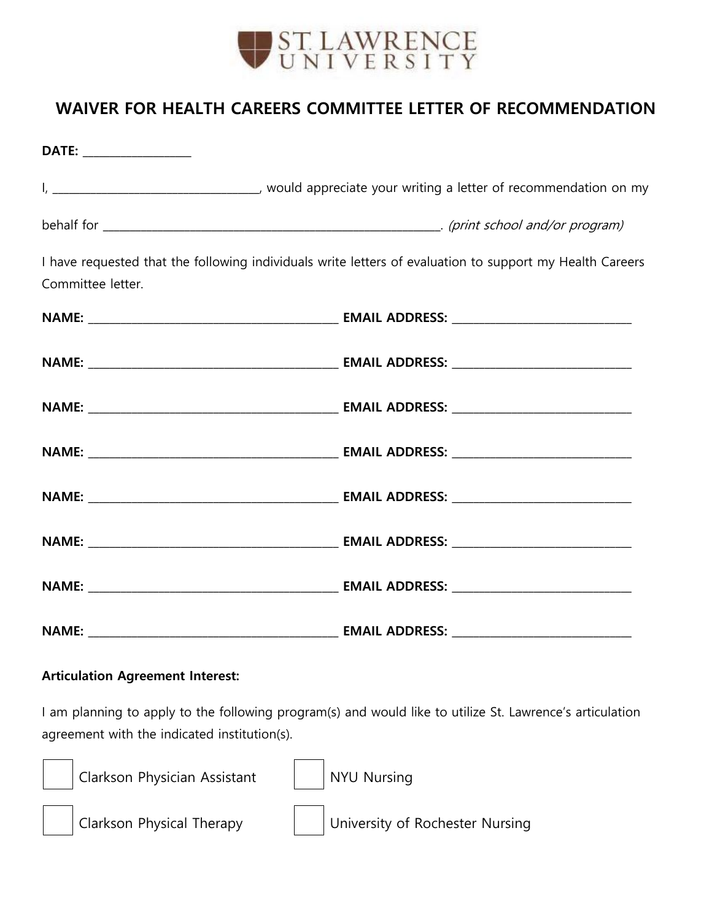

## **WAIVER FOR HEALTH CAREERS COMMITTEE LETTER OF RECOMMENDATION**

| DATE: _________________ |                                                                                                          |
|-------------------------|----------------------------------------------------------------------------------------------------------|
|                         |                                                                                                          |
|                         |                                                                                                          |
| Committee letter.       | I have requested that the following individuals write letters of evaluation to support my Health Careers |
|                         |                                                                                                          |
|                         |                                                                                                          |
|                         |                                                                                                          |
|                         |                                                                                                          |
|                         |                                                                                                          |
|                         |                                                                                                          |
|                         |                                                                                                          |
|                         |                                                                                                          |

## **Articulation Agreement Interest:**

I am planning to apply to the following program(s) and would like to utilize St. Lawrence's articulation agreement with the indicated institution(s).



Clarkson Physician Assistant | NYU Nursing





Clarkson Physical Therapy | | University of Rochester Nursing